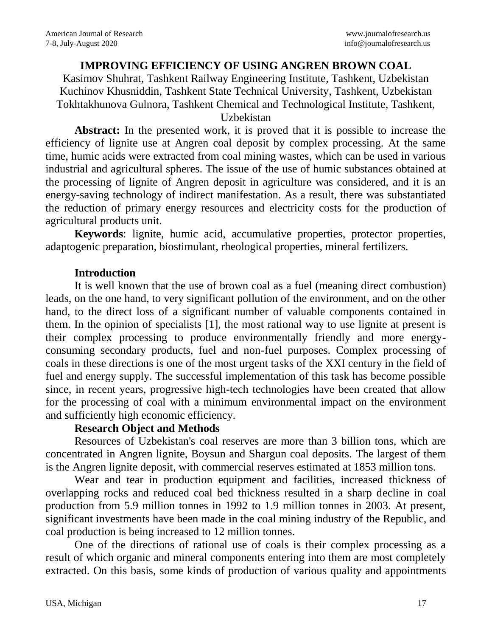# **IMPROVING EFFICIENCY OF USING ANGREN BROWN COAL**

Kasimov Shuhrat, Tashkent Railway Engineering Institute, Tashkent, Uzbekistan Kuchinov Khusniddin, Tashkent State Technical University, Tashkent, Uzbekistan Tokhtakhunova Gulnora, Tashkent Chemical and Technological Institute, Tashkent,

Uzbekistan

**Abstract:** In the presented work, it is proved that it is possible to increase the efficiency of lignite use at Angren coal deposit by complex processing. At the same time, humic acids were extracted from coal mining wastes, which can be used in various industrial and agricultural spheres. The issue of the use of humic substances obtained at the processing of lignite of Angren deposit in agriculture was considered, and it is an energy-saving technology of indirect manifestation. As a result, there was substantiated the reduction of primary energy resources and electricity costs for the production of agricultural products unit.

**Keywords**: lignite, humic acid, accumulative properties, protector properties, adaptogenic preparation, biostimulant, rheological properties, mineral fertilizers.

#### **Introduction**

It is well known that the use of brown coal as a fuel (meaning direct combustion) leads, on the one hand, to very significant pollution of the environment, and on the other hand, to the direct loss of a significant number of valuable components contained in them. In the opinion of specialists [1], the most rational way to use lignite at present is their complex processing to produce environmentally friendly and more energyconsuming secondary products, fuel and non-fuel purposes. Complex processing of coals in these directions is one of the most urgent tasks of the XXI century in the field of fuel and energy supply. The successful implementation of this task has become possible since, in recent years, progressive high-tech technologies have been created that allow for the processing of coal with a minimum environmental impact on the environment and sufficiently high economic efficiency.

## **Research Object and Methods**

Resources of Uzbekistan's coal reserves are more than 3 billion tons, which are concentrated in Angren lignite, Boysun and Shargun coal deposits. The largest of them is the Angren lignite deposit, with commercial reserves estimated at 1853 million tons.

Wear and tear in production equipment and facilities, increased thickness of overlapping rocks and reduced coal bed thickness resulted in a sharp decline in coal production from 5.9 million tonnes in 1992 to 1.9 million tonnes in 2003. At present, significant investments have been made in the coal mining industry of the Republic, and coal production is being increased to 12 million tonnes.

One of the directions of rational use of coals is their complex processing as a result of which organic and mineral components entering into them are most completely extracted. On this basis, some kinds of production of various quality and appointments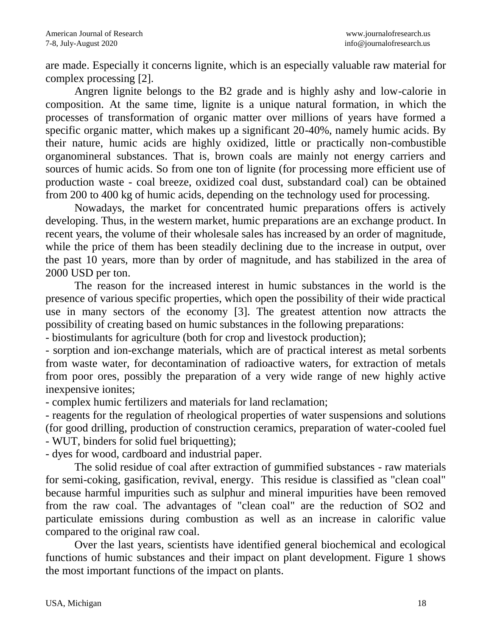are made. Especially it concerns lignite, which is an especially valuable raw material for complex processing [2].

Angren lignite belongs to the B2 grade and is highly ashy and low-calorie in composition. At the same time, lignite is a unique natural formation, in which the processes of transformation of organic matter over millions of years have formed a specific organic matter, which makes up a significant 20-40%, namely humic acids. By their nature, humic acids are highly oxidized, little or practically non-combustible organomineral substances. That is, brown coals are mainly not energy carriers and sources of humic acids. So from one ton of lignite (for processing more efficient use of production waste - coal breeze, oxidized coal dust, substandard coal) can be obtained from 200 to 400 kg of humic acids, depending on the technology used for processing.

Nowadays, the market for concentrated humic preparations offers is actively developing. Thus, in the western market, humic preparations are an exchange product. In recent years, the volume of their wholesale sales has increased by an order of magnitude, while the price of them has been steadily declining due to the increase in output, over the past 10 years, more than by order of magnitude, and has stabilized in the area of 2000 USD per ton.

The reason for the increased interest in humic substances in the world is the presence of various specific properties, which open the possibility of their wide practical use in many sectors of the economy [3]. The greatest attention now attracts the possibility of creating based on humic substances in the following preparations:

- biostimulants for agriculture (both for crop and livestock production);

- sorption and ion-exchange materials, which are of practical interest as metal sorbents from waste water, for decontamination of radioactive waters, for extraction of metals from poor ores, possibly the preparation of a very wide range of new highly active inexpensive ionites;

- complex humic fertilizers and materials for land reclamation;

- reagents for the regulation of rheological properties of water suspensions and solutions (for good drilling, production of construction ceramics, preparation of water-cooled fuel - WUT, binders for solid fuel briquetting);

- dyes for wood, cardboard and industrial paper.

The solid residue of coal after extraction of gummified substances - raw materials for semi-coking, gasification, revival, energy. This residue is classified as "clean coal" because harmful impurities such as sulphur and mineral impurities have been removed from the raw coal. The advantages of "clean coal" are the reduction of SO2 and particulate emissions during combustion as well as an increase in calorific value compared to the original raw coal.

Over the last years, scientists have identified general biochemical and ecological functions of humic substances and their impact on plant development. Figure 1 shows the most important functions of the impact on plants.